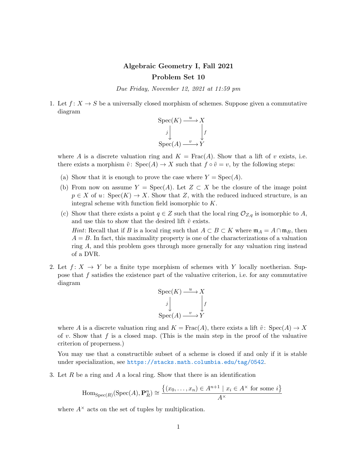## Algebraic Geometry I, Fall 2021 Problem Set 10

Due Friday, November 12, 2021 at 11:59 pm

1. Let  $f: X \to S$  be a universally closed morphism of schemes. Suppose given a commutative diagram

$$
\operatorname{Spec}(K) \xrightarrow{u} X
$$

$$
j \downarrow \qquad j
$$

$$
\operatorname{Spec}(A) \xrightarrow{v} Y
$$

where A is a discrete valuation ring and  $K = \text{Frac}(A)$ . Show that a lift of v exists, i.e. there exists a morphism  $\tilde{v}$ : Spec $(A) \to X$  such that  $f \circ \tilde{v} = v$ , by the following steps:

- (a) Show that it is enough to prove the case where  $Y = \text{Spec}(A)$ .
- (b) From now on assume  $Y = \text{Spec}(A)$ . Let  $Z \subset X$  be the closure of the image point  $p \in X$  of u:  $Spec(K) \to X$ . Show that Z, with the reduced induced structure, is an integral scheme with function field isomorphic to K.
- (c) Show that there exists a point  $q \in Z$  such that the local ring  $\mathcal{O}_{Z,q}$  is isomorphic to A, and use this to show that the desired lift  $\tilde{v}$  exists. *Hint*: Recall that if B is a local ring such that  $A \subset B \subset K$  where  $\mathfrak{m}_A = A \cap \mathfrak{m}_B$ , then  $A = B$ . In fact, this maximality property is one of the characterizations of a valuation ring A, and this problem goes through more generally for any valuation ring instead of a DVR.
- 2. Let  $f: X \to Y$  be a finite type morphism of schemes with Y locally noetherian. Suppose that  $f$  satisfies the existence part of the valuative criterion, i.e. for any commutative diagram

$$
\operatorname{Spec}(K) \xrightarrow{u} X
$$

$$
j \downarrow \qquad j
$$

$$
\operatorname{Spec}(A) \xrightarrow{v} Y
$$

where A is a discrete valuation ring and  $K = \text{Frac}(A)$ , there exists a lift  $\tilde{v}$ : Spec $(A) \to X$ of v. Show that f is a closed map. (This is the main step in the proof of the valuative criterion of properness.)

You may use that a constructible subset of a scheme is closed if and only if it is stable under specialization, see <https://stacks.math.columbia.edu/tag/0542>.

3. Let R be a ring and A a local ring. Show that there is an identification

Hom<sub>Spec(R)</sub>(Spec(A), 
$$
\mathbf{P}_R^n
$$
)  $\cong$   $\frac{\{(x_0, \ldots, x_n) \in A^{n+1} \mid x_i \in A^{\times} \text{ for some } i\}}{A^{\times}}$ 

where  $A^{\times}$  acts on the set of tuples by multiplication.